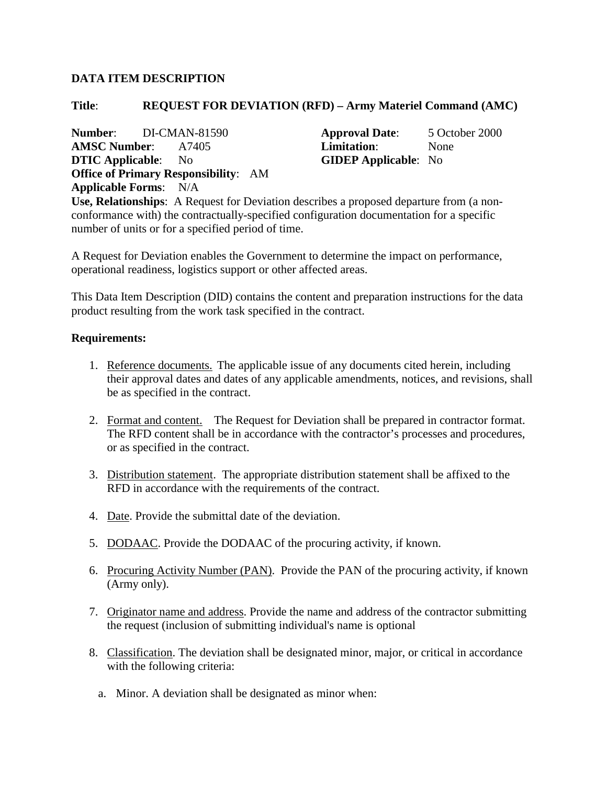## **DATA ITEM DESCRIPTION**

## **Title**: **REQUEST FOR DEVIATION (RFD) – Army Materiel Command (AMC)**

**AMSC Number**: A7405 **Limitation**: None **DTIC Applicable**: No **GIDEP Applicable**: No **Office of Primary Responsibility**: AM **Applicable Forms**: N/A

**Number**: DI-CMAN-81590 **Approval Date**: 5 October 2000

**Use, Relationships**: A Request for Deviation describes a proposed departure from (a nonconformance with) the contractually-specified configuration documentation for a specific number of units or for a specified period of time.

A Request for Deviation enables the Government to determine the impact on performance, operational readiness, logistics support or other affected areas.

This Data Item Description (DID) contains the content and preparation instructions for the data product resulting from the work task specified in the contract.

## **Requirements:**

- 1. Reference documents. The applicable issue of any documents cited herein, including their approval dates and dates of any applicable amendments, notices, and revisions, shall be as specified in the contract.
- 2. Format and content. The Request for Deviation shall be prepared in contractor format. The RFD content shall be in accordance with the contractor's processes and procedures, or as specified in the contract.
- 3. Distribution statement. The appropriate distribution statement shall be affixed to the RFD in accordance with the requirements of the contract.
- 4. Date. Provide the submittal date of the deviation.
- 5. DODAAC. Provide the DODAAC of the procuring activity, if known.
- 6. Procuring Activity Number (PAN). Provide the PAN of the procuring activity, if known (Army only).
- 7. Originator name and address. Provide the name and address of the contractor submitting the request (inclusion of submitting individual's name is optional
- 8. Classification. The deviation shall be designated minor, major, or critical in accordance with the following criteria:
	- a. Minor. A deviation shall be designated as minor when: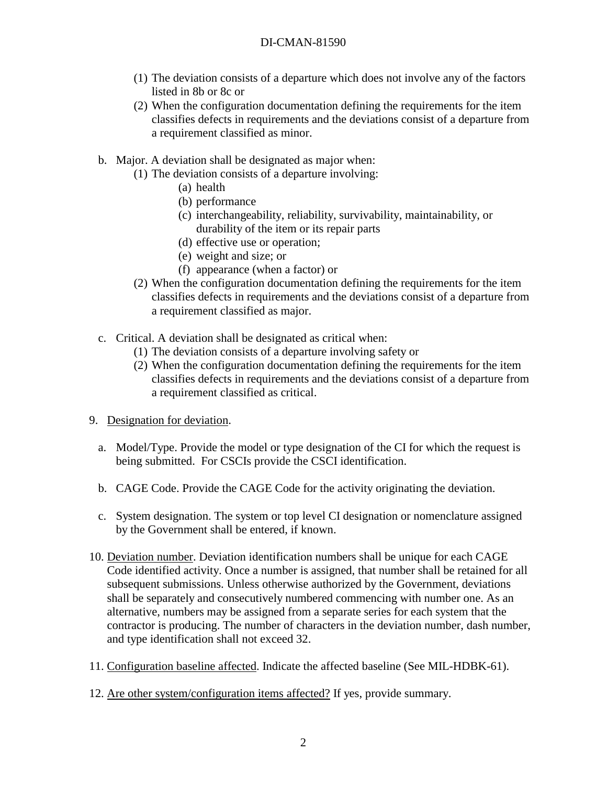- (1) The deviation consists of a departure which does not involve any of the factors listed in 8b or 8c or
- (2) When the configuration documentation defining the requirements for the item classifies defects in requirements and the deviations consist of a departure from a requirement classified as minor.
- b. Major. A deviation shall be designated as major when:
	- (1) The deviation consists of a departure involving:
		- (a) health
		- (b) performance
		- (c) interchangeability, reliability, survivability, maintainability, or durability of the item or its repair parts
		- (d) effective use or operation;
		- (e) weight and size; or
		- (f) appearance (when a factor) or
	- (2) When the configuration documentation defining the requirements for the item classifies defects in requirements and the deviations consist of a departure from a requirement classified as major.
- c. Critical. A deviation shall be designated as critical when:
	- (1) The deviation consists of a departure involving safety or
	- (2) When the configuration documentation defining the requirements for the item classifies defects in requirements and the deviations consist of a departure from a requirement classified as critical.
- 9. Designation for deviation.
	- a. Model/Type. Provide the model or type designation of the CI for which the request is being submitted. For CSCIs provide the CSCI identification.
	- b. CAGE Code. Provide the CAGE Code for the activity originating the deviation.
	- c. System designation. The system or top level CI designation or nomenclature assigned by the Government shall be entered, if known.
- 10. Deviation number. Deviation identification numbers shall be unique for each CAGE Code identified activity. Once a number is assigned, that number shall be retained for all subsequent submissions. Unless otherwise authorized by the Government, deviations shall be separately and consecutively numbered commencing with number one. As an alternative, numbers may be assigned from a separate series for each system that the contractor is producing. The number of characters in the deviation number, dash number, and type identification shall not exceed 32.
- 11. Configuration baseline affected. Indicate the affected baseline (See MIL-HDBK-61).
- 12. Are other system/configuration items affected? If yes, provide summary.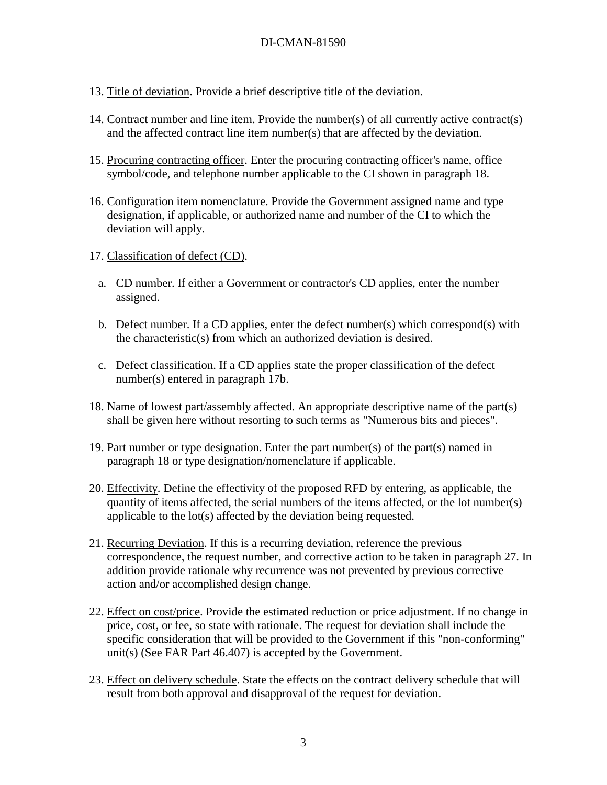- 13. Title of deviation. Provide a brief descriptive title of the deviation.
- 14. Contract number and line item. Provide the number(s) of all currently active contract(s) and the affected contract line item number(s) that are affected by the deviation.
- 15. Procuring contracting officer. Enter the procuring contracting officer's name, office symbol/code, and telephone number applicable to the CI shown in paragraph 18.
- 16. Configuration item nomenclature. Provide the Government assigned name and type designation, if applicable, or authorized name and number of the CI to which the deviation will apply.
- 17. Classification of defect (CD).
	- a. CD number. If either a Government or contractor's CD applies, enter the number assigned.
	- b. Defect number. If a CD applies, enter the defect number(s) which correspond(s) with the characteristic(s) from which an authorized deviation is desired.
	- c. Defect classification. If a CD applies state the proper classification of the defect number(s) entered in paragraph 17b.
- 18. Name of lowest part/assembly affected. An appropriate descriptive name of the part(s) shall be given here without resorting to such terms as "Numerous bits and pieces".
- 19. Part number or type designation. Enter the part number(s) of the part(s) named in paragraph 18 or type designation/nomenclature if applicable.
- 20. Effectivity. Define the effectivity of the proposed RFD by entering, as applicable, the quantity of items affected, the serial numbers of the items affected, or the lot number(s) applicable to the lot(s) affected by the deviation being requested.
- 21. Recurring Deviation. If this is a recurring deviation, reference the previous correspondence, the request number, and corrective action to be taken in paragraph 27. In addition provide rationale why recurrence was not prevented by previous corrective action and/or accomplished design change.
- 22. Effect on cost/price. Provide the estimated reduction or price adjustment. If no change in price, cost, or fee, so state with rationale. The request for deviation shall include the specific consideration that will be provided to the Government if this "non-conforming" unit(s) (See FAR Part 46.407) is accepted by the Government.
- 23. Effect on delivery schedule. State the effects on the contract delivery schedule that will result from both approval and disapproval of the request for deviation.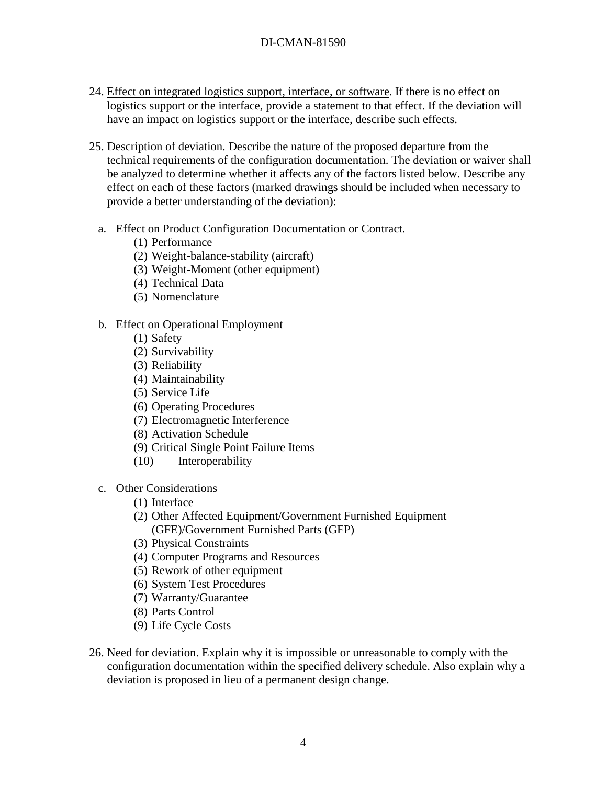- 24. Effect on integrated logistics support, interface, or software. If there is no effect on logistics support or the interface, provide a statement to that effect. If the deviation will have an impact on logistics support or the interface, describe such effects.
- 25. Description of deviation. Describe the nature of the proposed departure from the technical requirements of the configuration documentation. The deviation or waiver shall be analyzed to determine whether it affects any of the factors listed below. Describe any effect on each of these factors (marked drawings should be included when necessary to provide a better understanding of the deviation):
	- a. Effect on Product Configuration Documentation or Contract.
		- (1) Performance
		- (2) Weight-balance-stability (aircraft)
		- (3) Weight-Moment (other equipment)
		- (4) Technical Data
		- (5) Nomenclature
	- b. Effect on Operational Employment
		- (1) Safety
		- (2) Survivability
		- (3) Reliability
		- (4) Maintainability
		- (5) Service Life
		- (6) Operating Procedures
		- (7) Electromagnetic Interference
		- (8) Activation Schedule
		- (9) Critical Single Point Failure Items
		- (10) Interoperability
	- c. Other Considerations
		- (1) Interface
		- (2) Other Affected Equipment/Government Furnished Equipment (GFE)/Government Furnished Parts (GFP)
		- (3) Physical Constraints
		- (4) Computer Programs and Resources
		- (5) Rework of other equipment
		- (6) System Test Procedures
		- (7) Warranty/Guarantee
		- (8) Parts Control
		- (9) Life Cycle Costs
- 26. Need for deviation. Explain why it is impossible or unreasonable to comply with the configuration documentation within the specified delivery schedule. Also explain why a deviation is proposed in lieu of a permanent design change.